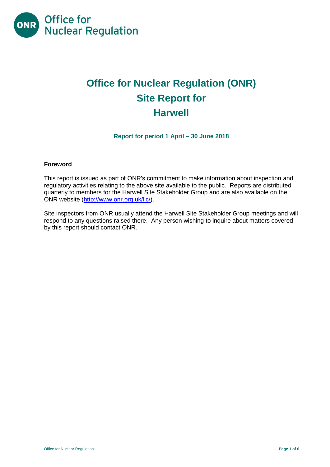

# **Office for Nuclear Regulation (ONR) Site Report for Harwell**

**Report for period 1 April – 30 June 2018**

## **Foreword**

This report is issued as part of ONR's commitment to make information about inspection and regulatory activities relating to the above site available to the public. Reports are distributed quarterly to members for the Harwell Site Stakeholder Group and are also available on the ONR website [\(http://www.onr.org.uk/llc/\)](http://www.onr.org.uk/llc/).

Site inspectors from ONR usually attend the Harwell Site Stakeholder Group meetings and will respond to any questions raised there. Any person wishing to inquire about matters covered by this report should contact ONR.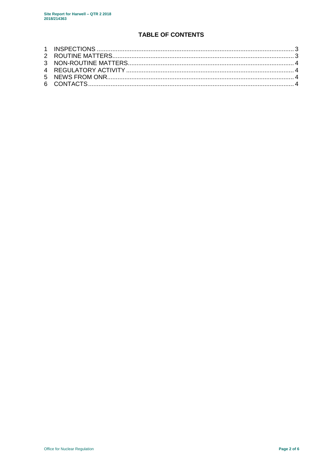## **TABLE OF CONTENTS**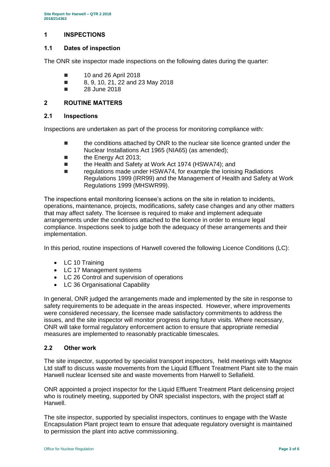## <span id="page-2-0"></span>**1 INSPECTIONS**

## **1.1 Dates of inspection**

The ONR site inspector made inspections on the following dates during the quarter:

- **10 and 26 April 2018**
- 8, 9, 10, 21, 22 and 23 May 2018
- **28 June 2018**

## <span id="page-2-1"></span>**2 ROUTINE MATTERS**

#### **2.1 Inspections**

Inspections are undertaken as part of the process for monitoring compliance with:

- **the conditions attached by ONR to the nuclear site licence granted under the** Nuclear Installations Act 1965 (NIA65) (as amended);
- **the Energy Act 2013:**
- the Health and Safety at Work Act 1974 (HSWA74); and
- regulations made under HSWA74, for example the Ionising Radiations Regulations 1999 (IRR99) and the Management of Health and Safety at Work Regulations 1999 (MHSWR99).

The inspections entail monitoring licensee's actions on the site in relation to incidents, operations, maintenance, projects, modifications, safety case changes and any other matters that may affect safety. The licensee is required to make and implement adequate arrangements under the conditions attached to the licence in order to ensure legal compliance. Inspections seek to judge both the adequacy of these arrangements and their implementation.

In this period, routine inspections of Harwell covered the following Licence Conditions (LC):

- LC 10 Training
- LC 17 Management systems
- LC 26 Control and supervision of operations
- LC 36 Organisational Capability

In general, ONR judged the arrangements made and implemented by the site in response to safety requirements to be adequate in the areas inspected. However, where improvements were considered necessary, the licensee made satisfactory commitments to address the issues, and the site inspector will monitor progress during future visits. Where necessary, ONR will take formal regulatory enforcement action to ensure that appropriate remedial measures are implemented to reasonably practicable timescales.

## **2.2 Other work**

The site inspector, supported by specialist transport inspectors, held meetings with Magnox Ltd staff to discuss waste movements from the Liquid Effluent Treatment Plant site to the main Harwell nuclear licensed site and waste movements from Harwell to Sellafield.

ONR appointed a project inspector for the Liquid Effluent Treatment Plant delicensing project who is routinely meeting, supported by ONR specialist inspectors, with the project staff at Harwell.

The site inspector, supported by specialist inspectors, continues to engage with the Waste Encapsulation Plant project team to ensure that adequate regulatory oversight is maintained to permission the plant into active commissioning.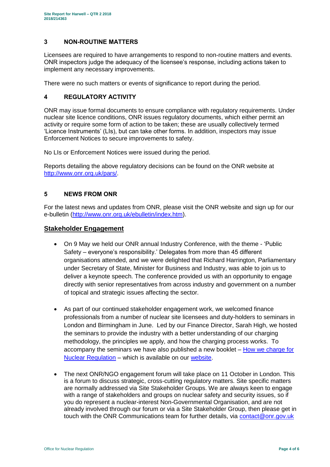## <span id="page-3-0"></span>**3 NON-ROUTINE MATTERS**

Licensees are required to have arrangements to respond to non-routine matters and events. ONR inspectors judge the adequacy of the licensee's response, including actions taken to implement any necessary improvements.

There were no such matters or events of significance to report during the period.

## <span id="page-3-1"></span>**4 REGULATORY ACTIVITY**

ONR may issue formal documents to ensure compliance with regulatory requirements. Under nuclear site licence conditions, ONR issues regulatory documents, which either permit an activity or require some form of action to be taken; these are usually collectively termed 'Licence Instruments' (LIs), but can take other forms. In addition, inspectors may issue Enforcement Notices to secure improvements to safety.

No LIs or Enforcement Notices were issued during the period.

Reports detailing the above regulatory decisions can be found on the ONR website at [http://www.onr.org.uk/pars/.](http://www.onr.org.uk/pars/)

## <span id="page-3-2"></span>**5 NEWS FROM ONR**

<span id="page-3-3"></span>For the latest news and updates from ONR, please visit the ONR website and sign up for our e-bulletin [\(http://www.onr.org.uk/ebulletin/index.htm\)](http://www.onr.org.uk/ebulletin/index.htm).

## **Stakeholder Engagement**

- On 9 May we held our ONR annual Industry Conference, with the theme 'Public Safety – everyone's responsibility.' Delegates from more than 45 different organisations attended, and we were delighted that Richard Harrington, Parliamentary under Secretary of State, Minister for Business and Industry, was able to join us to deliver a keynote speech. The conference provided us with an opportunity to engage directly with senior representatives from across industry and government on a number of topical and strategic issues affecting the sector.
- As part of our continued stakeholder engagement work, we welcomed finance professionals from a number of nuclear site licensees and duty-holders to seminars in London and Birmingham in June. Led by our Finance Director, Sarah High, we hosted the seminars to provide the industry with a better understanding of our charging methodology, the principles we apply, and how the charging process works. To accompany the seminars we have also published a new booklet – [How we charge for](http://www.onr.org.uk/documents/2018/how-we-charge-for-nuclear-regulation.pdf)  [Nuclear Regulation](http://www.onr.org.uk/documents/2018/how-we-charge-for-nuclear-regulation.pdf) – which is available on our [website.](http://www.onr.org.uk/documents/2018/how-we-charge-for-nuclear-regulation.pdf)
- The next ONR/NGO engagement forum will take place on 11 October in London. This is a forum to discuss strategic, cross-cutting regulatory matters. Site specific matters are normally addressed via Site Stakeholder Groups. We are always keen to engage with a range of stakeholders and groups on nuclear safety and security issues, so if you do represent a nuclear-interest Non-Governmental Organisation, and are not already involved through our forum or via a Site Stakeholder Group, then please get in touch with the ONR Communications team for further details, via [contact@onr.gov.uk](mailto:contact@onr.gov.uk)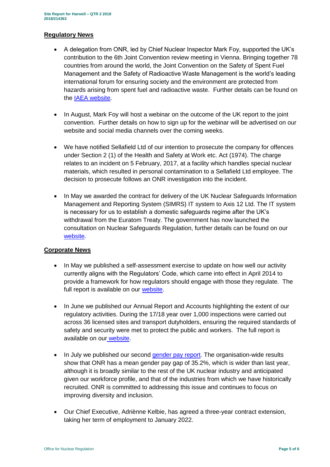#### **Regulatory News**

- A delegation from ONR, led by Chief Nuclear Inspector Mark Foy, supported the UK's contribution to the 6th Joint Convention review meeting in Vienna. Bringing together 78 countries from around the world, the Joint Convention on the Safety of Spent Fuel Management and the Safety of Radioactive Waste Management is the world's leading international forum for ensuring society and the environment are protected from hazards arising from spent fuel and radioactive waste. Further details can be found on the [IAEA website.](https://www.iaea.org/events/sixth-review-meeting-of-the-contracting-parties-to-the-joint-convention-on-the-safety-of-spent-fuel-management-and-on-the-safety-of-radioactive-waste-management-joint-convention)
- In August, Mark Foy will host a webinar on the outcome of the UK report to the joint convention. Further details on how to sign up for the webinar will be advertised on our website and social media channels over the coming weeks.
- We have notified Sellafield Ltd of our intention to prosecute the company for offences under Section 2 (1) of the Health and Safety at Work etc. Act (1974). The charge relates to an incident on 5 February, 2017, at a facility which handles special nuclear materials, which resulted in personal contamination to a Sellafield Ltd employee. The decision to prosecute follows an ONR investigation into the incident.
- In May we awarded the contract for delivery of the UK Nuclear Safeguards Information Management and Reporting System (SIMRS) IT system to Axis 12 Ltd. The IT system is necessary for us to establish a domestic safeguards regime after the UK's withdrawal from the Euratom Treaty. The government has now launched the consultation on Nuclear Safeguards Regulation, further details can be found on our [website.](http://news.onr.org.uk/2018/07/government-consults-on-nuclear-safeguards-regulations/)

## **Corporate News**

- In May we published a self-assessment exercise to update on how well our activity currently aligns with the Regulators' Code, which came into effect in April 2014 to provide a framework for how regulators should engage with those they regulate. The full report is available on our [website.](http://www.onr.org.uk/regulators-code.htm)
- In June we published our Annual Report and Accounts highlighting the extent of our regulatory activities. During the 17/18 year over 1,000 inspections were carried out across 36 licensed sites and transport dutyholders, ensuring the required standards of safety and security were met to protect the public and workers. The full report is available on our [website.](http://news.onr.org.uk/2018/06/annual-report-and-accounts-published/)
- In July we published our second [gender pay report.](http://news.onr.org.uk/2018/07/onr-publishes-second-gender-pay-report/) The organisation-wide results show that ONR has a mean gender pay gap of 35.2%, which is wider than last year, although it is broadly similar to the rest of the UK nuclear industry and anticipated given our workforce profile, and that of the industries from which we have historically recruited. ONR is committed to addressing this issue and continues to focus on improving diversity and inclusion.
- Our Chief Executive, Adriènne Kelbie, has agreed a three-year contract extension, taking her term of employment to January 2022.